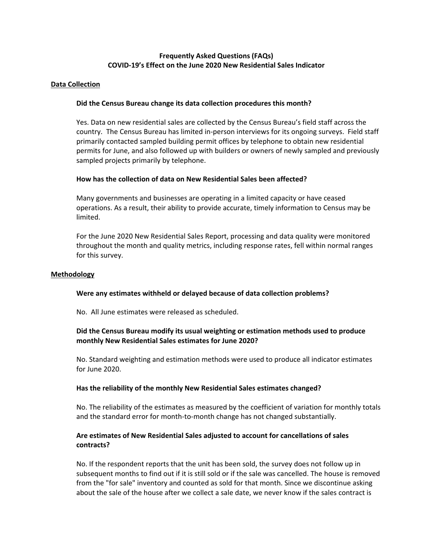# **Frequently Asked Questions (FAQs) COVID‐19's Effect on the June 2020 New Residential Sales Indicator**

## **Data Collection**

## **Did the Census Bureau change its data collection procedures this month?**

Yes. Data on new residential sales are collected by the Census Bureau's field staff across the country. The Census Bureau has limited in‐person interviews for its ongoing surveys. Field staff primarily contacted sampled building permit offices by telephone to obtain new residential permits for June, and also followed up with builders or owners of newly sampled and previously sampled projects primarily by telephone.

## **How has the collection of data on New Residential Sales been affected?**

Many governments and businesses are operating in a limited capacity or have ceased operations. As a result, their ability to provide accurate, timely information to Census may be limited.

For the June 2020 New Residential Sales Report, processing and data quality were monitored throughout the month and quality metrics, including response rates, fell within normal ranges for this survey.

## **Methodology**

## **Were any estimates withheld or delayed because of data collection problems?**

No. All June estimates were released as scheduled.

# **Did the Census Bureau modify its usual weighting or estimation methods used to produce monthly New Residential Sales estimates for June 2020?**

No. Standard weighting and estimation methods were used to produce all indicator estimates for June 2020.

#### **Has the reliability of the monthly New Residential Sales estimates changed?**

No. The reliability of the estimates as measured by the coefficient of variation for monthly totals and the standard error for month-to-month change has not changed substantially.

# **Are estimates of New Residential Sales adjusted to account for cancellations of sales contracts?**

No. If the respondent reports that the unit has been sold, the survey does not follow up in subsequent months to find out if it is still sold or if the sale was cancelled. The house is removed from the "for sale" inventory and counted as sold for that month. Since we discontinue asking about the sale of the house after we collect a sale date, we never know if the sales contract is